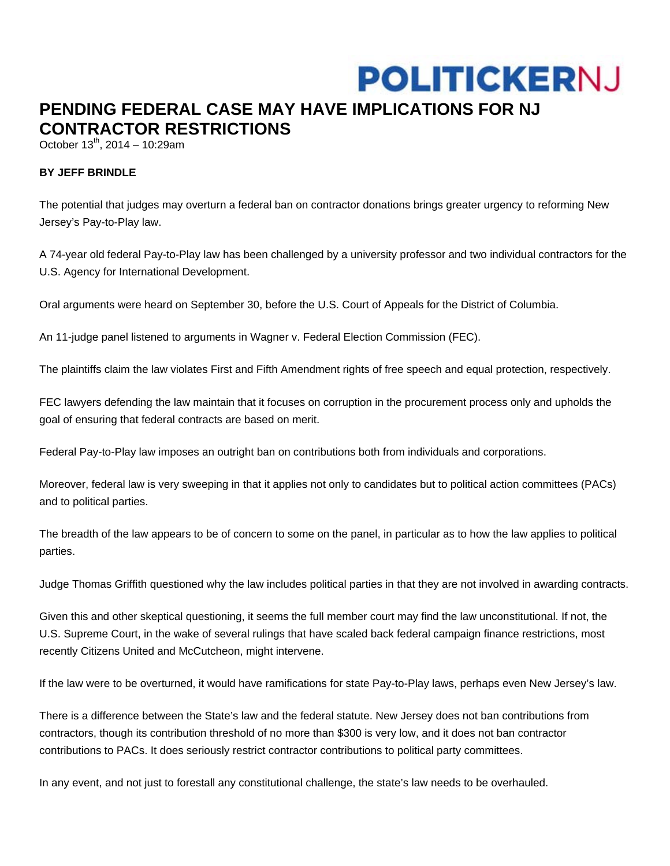## **POLITICKERNJ**

## **PENDING FEDERAL CASE MAY HAVE IMPLICATIONS FOR NJ CONTRACTOR RESTRICTIONS**

October  $13^{th}$ , 2014 – 10:29am

## **BY JEFF BRINDLE**

The potential that judges may overturn a federal ban on contractor donations brings greater urgency to reforming New Jersey's Pay-to-Play law.

A 74-year old federal Pay-to-Play law has been challenged by a university professor and two individual contractors for the U.S. Agency for International Development.

Oral arguments were heard on September 30, before the U.S. Court of Appeals for the District of Columbia.

An 11-judge panel listened to arguments in Wagner v. Federal Election Commission (FEC).

The plaintiffs claim the law violates First and Fifth Amendment rights of free speech and equal protection, respectively.

FEC lawyers defending the law maintain that it focuses on corruption in the procurement process only and upholds the goal of ensuring that federal contracts are based on merit.

Federal Pay-to-Play law imposes an outright ban on contributions both from individuals and corporations.

Moreover, federal law is very sweeping in that it applies not only to candidates but to political action committees (PACs) and to political parties.

The breadth of the law appears to be of concern to some on the panel, in particular as to how the law applies to political parties.

Judge Thomas Griffith questioned why the law includes political parties in that they are not involved in awarding contracts.

Given this and other skeptical questioning, it seems the full member court may find the law unconstitutional. If not, the U.S. Supreme Court, in the wake of several rulings that have scaled back federal campaign finance restrictions, most recently Citizens United and McCutcheon, might intervene.

If the law were to be overturned, it would have ramifications for state Pay-to-Play laws, perhaps even New Jersey's law.

There is a difference between the State's law and the federal statute. New Jersey does not ban contributions from contractors, though its contribution threshold of no more than \$300 is very low, and it does not ban contractor contributions to PACs. It does seriously restrict contractor contributions to political party committees.

In any event, and not just to forestall any constitutional challenge, the state's law needs to be overhauled.